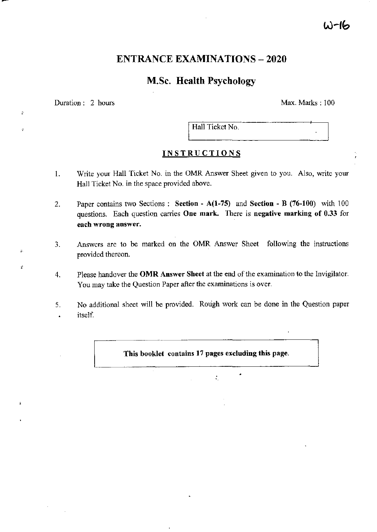# a)−ال

# **ENTRANCE EXAMINATIONS - 2020**

# M.Sc. Health Psychology

Duration: 2 hours Max. Marks: 100

 $\ddot{\phantom{a}}$ 

 $\overline{z}$ 

ż.

÷

J,

Hall Ticket No.

# **INSTRUCTIONS**

- 1. Write your Hall Ticket No. in the OMR Answer Sheet given to you. Also, write your Hall Ticket No. in the space provided above.
- 2. Paper contains two Sections: Section  $A(1-75)$  and Section B (76-100) with  $100$ questions. Each question carries One mark. There is negative marking of 0.33 for each wrong answer.
- 3. Answers are to be marked on the OMR Answer Sheet following the instructions provided thereon.
- 4. Please handover the OMR Answer Sheet at the end of the examination to the Invigilator. You may take the Question Paper after the examinations is over.
- 5. No additional sheet will be provided. Rough work can be done in the Question paper itself.  $\overline{\phantom{a}}$

This booklet contains 17 pages excluding this page.

 $e^{-\frac{1}{2}t}$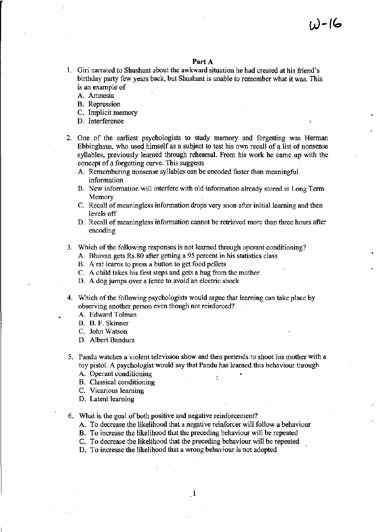### Part A

- 1. Giri narrated to Shushant about the awkward situation he had created at his friend's birthday party few years back, but Shushant is unable to remember what it was. This is an example of
	- A. Amnesia
	- B. Repression
	- C. Implicit memory
	- D. Interference
- 2. One of the earliest psychologists to study memory and forgetting was Herman Ebbinghaus, who used himself as a subject to test his own recall of a list of nonsense syllables, previously learned through rehearsal. From his work he came up with the concept of a forgetting curve. This suggests
	- A. Remembering nonsense syllables can be encoded faster than meaningful information
	- B. New information will interfere with old information already stored in Long Term Memory
	- C. Recall of meaningless information drops very soon after initial learning and then levels off
	- D. Recall of meaningless information cannot be retrieved more than three hours after encoding
- 3. Which of the following responses is not learned through operant conditioning?
	- A. Bhuvan gets Rs.80 after getting a 95 percent in his statistics class
	- B. A rat learns to press a button to get food pellets
	- C. A child takes his first steps and gets a hug from the mother
	- D. A dog jumps over a fence to avoid an electric shock
- 4. Which of the following psychologists would argue that learning can take place by observing another person even though not reinforced?
	- A. Edward Tolman
	- B. B. F. Skinner
	- c. John Watson
	- D. Albert Bandura
- 5. Pandu watches a violent television show and then pretends to shoot his mother with a toy pistol. A psychologist would say that Pandu has learned this behaviour through
	- A. Operant conditioning
	- B. Classical conditioning
	- C. Vicarious learning
	- D. Latent learning
- 6. What is the goal of both positive and negative reinforcement?
	- A. To decrease the likelihood that a negative reinforcer will follow a behaviour
	- B. To increase the likelihood that the preceding behaviour will be repeated
	- C. To decrease the likelihood that the preceding behaviour will be repeated
	- D. To increase the likelihood that a wrong behaviour is not adopted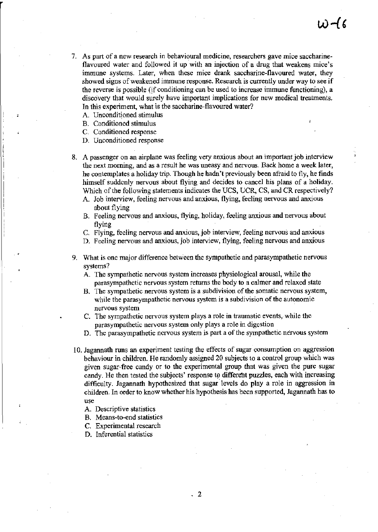- 7. As part of a new research in behavioural medicine, researchers gave mice saccharine~ flavoured water and followed it up with an injection of a drug that weakens mice's immune systems. Later, when these mice drank saccharine-flavoured water, they showed signs of weakened immune response. Research is currently under way to see if the reverse is possible (if conditioning can be used to increase immune functioning), a discovery that would surely have important implications for new medical treatments. In this experiment, what is the saccharine-flavoured water?
	- A. Unconditioned stimulus
	- B. Conditioned stimulus
	- C. Conditioned response
	- D. Unconditioned response
- 8. A passenger on an airplane was feeling very anxious about an important job interview thc next morning, and as a result he was uneasy and nervous. Back home a week later, he contemplates a holiday trip. Though he hadn't previously been afraid to fly, he finds himself suddenly nervous about flying and decides to cancel his plans of a holiday. Which of the following statements indicates the UCS, UCR, CS, and CR respectively?
	- A. Job interview, feeling nervous and anxious, flying, feeling nervous and anxious aboul flying
	- B. Feeling nervous and anxious, flying, holiday, feeling anxious and nervous about flying
	- C. Flying, feeling nervous and anxious, job interview, feeling nervous and anxious
	- D. Feeling nervous and anxious, job interview, flying, feeling nervous and anxious
- 9. What is one major difference between the sympathetic and parasympathetic nervous systems?
	- A. The sympathetic nervous system increases physiological arousal, while the parasympathetic nervous system returns the body to a calmer and relaxed state
	- B. The sympathetic nervous system is a subdivision of the somatic nervous system, while the parasympathetic nervous system is a subdivision of the autonomic nervous system
	- C. The sympathetic nervous system plays a role in traumatic events, while the parasympathetic nervous system only plays a role in digestion
	- D. The parasympathetic ncrvous system is part a of the sympathetic nervous system
- 10. Jagannath runs an experiment testing the effects of sugar consumption on aggression behaviour in children. He randomly assigned 20 subjects to a control group which was given sugar~free candy or to the experimental group that was given the pure sugar candy. He then tested the subjects' response to different puzzles, each with increasing difficulty. Jagannath hypothesized that sugar levels do play a role in aggression in children. In order to know whether his hypothesis has been supported, Jagannath has to use
	- A. Descriptive statistics
	- B. Means-to-end statistics
	- C. Experimental research
	- D. Inferential statistics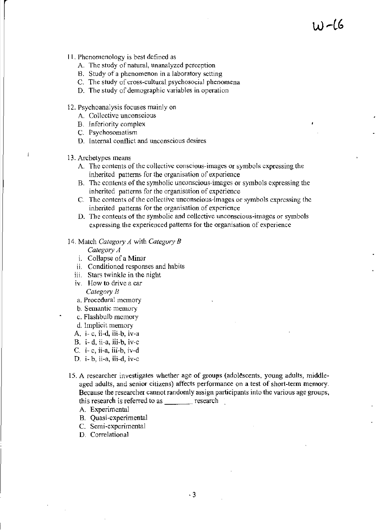- 11. Phenomenology is best defined as
	- A. The study of natural, unanalyzed perception
	- H. Study of a phenomenon in a laboratory setting
	- C. The study of cross-cultural psychosocial phenomena
	- D. The study of demographic variables in operation
- 12. Psychoanalysis focuses mainly on
	- A. Collective unconscious
	- B. Inferiority complex
	- C. Psychosomatism
	- D. Internal conflict and unconscious desires
- 13. Archetypes means

 $\vec{\Gamma}$ 

- A. Thc contents of the collective conscious-images Or symbols cxpressing lhe inherited patterns for the organisation of experience
- B. The contents of the symbolic unconscious-images or symbols expressing the inherited patterns for the organisation of experience
- C. The contents of the collective unconscious-images or symbols cxpressing the inherited patterns for the organisation of experience
- D. The contents of the symbolic and collective unconscious-images or symbols expressing the experienced patterns for the organisation of experience
- 14. Match *Category A* with *Category B*

*Category A* 

- 1. Collapse of a Minar
- ii. Conditioned responses and habits
- iii. Stars twinkle in the night
- iv. How to drive a car *Category B*
- a. Procedural memory
- b. Semantic memory
- c. Flashbulb memory
- d. Implicit memory
- A. i- c, ii-d, iii-b, iv-a
- B. i- d, ii-a, iii-b, iv-c
- C. i- c, ii-a, iii-b, iv-d
- D. i- b, ii-a, iii-d, iv-c
- 15. A researcher investigates whether age of groups (adolescents, young adults, middleaged adults, and senior citizens) affects performance on a test of short-term memory. Because the researcher cannot randomly assign participants into the various age groups, this research is referred to as  $\frac{1}{\sqrt{2\pi}}$  research
	- A. Experimental
	- B. Quasi-experimental
	- C. Semi-experimental
	- D. Correlational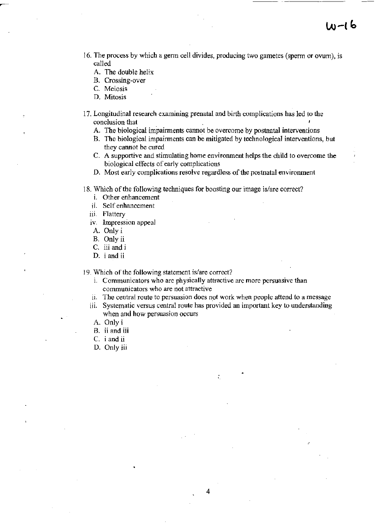- 16. The process by which a germ cell divides, producing two gametes (sperm or ovum), is called
	- A. The double helix
	- B. Crossing-over
	- C. Meiosis
	- D. Mitosis
- 17. Longitudinal research examining prenatal and birth complications has led to the conclusion that
	- A. The biological impairments cannot be overcome by postnatal interventions
	- B. The biological impairments can be mitigated by technological interventions, but they cannot be cured
	- C. A supportive and stimulating home environment helps the child to overcome the biological effects of early complications
	- D. Most early complications resolve regardless of the postnatal environment
- 18. Which of the following techniques for boosting our image is/are correct?
	- l. Other enhancement
	- ii. Self enhancement
	- iii. Flattery
	- iv. Impression appeal
	- A. Only i
	- B. Only ii
	- C. iii and i
	- D. i and ii

19. Which of the following statement is/are correct?

- i. Communicators who are physically attractive arc more persuasive than communicators who are not attractive
- ii. The central route to persuasion does not work when people attend to a message
- iii. Systematic versus central route has provided an important key to understanding when and how persuasion occurs

4

- A. Only i
- B. ii and iii
- C. i and ii
- D. Only iii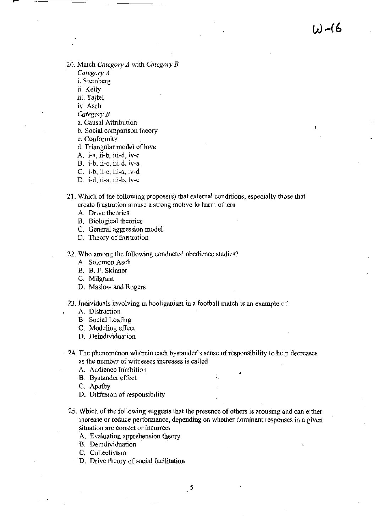20. Match *Category A* with *Category B* 

*Category A* 

- i. Sternberg
- ii. Kelly
- iii. Tajfel

iv. Asch

*Category B* 

a. Causal Attribution

h. Social comparison theory

c. Conformity

d. Triangular model of love

A. i-a, ii-b, iii-d, iv-c

B. i-b, ii-c, iii-d, iv-a

- C. i-b, ii-c, iii-a, iv-d
- D. i-d, ii-a, iii-b, iv-c
- 21. Which of the following propose( s) that external conditions, especially those that create frustration arouse a strong motive to harm others
	- A. Drive theories
	- B. Biological theories
	- C. General aggression model
	- D. Theory of frustration
- 22. Who among the following conducted obedience studies?
	- A. Solomon Asch
	- B. B. F. Skinner
	- C. Milgram
	- D. Maslow and Rogers
- 23. Individuals involving in hooliganism in a football match is an example of
	- A. Distraction
	- B. Social Loafing
	- C. Modeling effect
	- D. Deindividuation
- 24. The phenomenon wherein each bystander's sense of responsibility to help decreases as the number of witnesses increases is called
	- A. Audience Inhibition
	- **B.** Bystander effect
	- C. Apathy
	- D. Diffusion of responsibility
- 25. Which of the following suggests that the presence of others is arousing and can either increase or reduce performance, depending on whether dominant responses in a given situation are correct or incorrect
	- A Evaluation apprehension theory
	- B. Deindividuation .
	- C. Collectivism
	- D. Drive theory of social facilitation
		- $\mathbf{R}^5$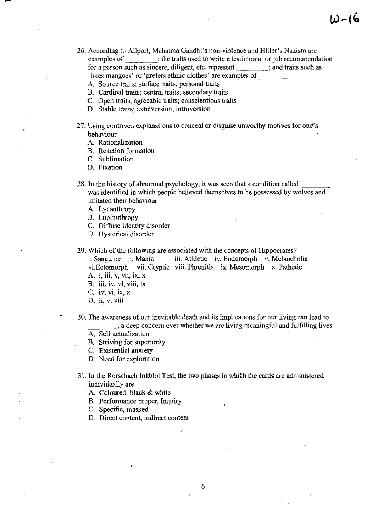W-(b

- 26. According to Allport, Mahatma Gandhi's non-violence and Hitler's Nazism are examples of ; the traits used to write a testimonial or job recommendation for a person such as sincere, diligent, etc. represent  $\qquad \qquad$  ; and traits such as 'likes mangoes' or 'prefers ethnic clothes' are examples of
	- A. Source traits; surface traits; personal traits
	- B. Cardinal traits; central traits; secondary traits
	- C. Open traits, agreeable traits; conscientious traits
	- D. Stable traits; extraversion; introversion
- 27. Using contrived explanations to conceal or disguise unworthy motives for one's behaviour
	- A. Rationalization
	- B. Reaction formation
	- C. Sublimation
	- D. Fixation
- 28. In the history of abnormal psychology, it was seen that a condition called was identified in which people believed themselves to be possessed by wolves and imitated their behaviour
	- A. Lycanthropy
	- B. Lupinothropy
	- C. Diffuse Identity disorder
	- D. Hysterical disorder
- 29. Which of the following are associated with the concepts of Hippocrates? i. Sanguine ii. Mania iii. Athletic iv. Endomorph v. Melancholia vi.Ectomorph vii. Cryptic viii. Phrenitis ix. Mesomorph x. Pathetic A. *i*, *iii*, *v*, *vii*, *ix*, *x* 
	- B. iii, iv, vi, viii, ix
	- C. iv, VI, IX, X
	- D. ii, v, viii
- 30. The awareness of our inevitablc death and its implications for our living can lead to  $\cdot$ , a deep concern over whether we arc living meaningful and fulfilling lives
	- A. Self actualization
	- B. Striving for superiority
	- C. Existential anxiety
	- D. Need for exploration
- 31. In the Rorschach Inkblot Test, the two phases in which the cards are administered individually are

6

- A. Coloured, black & white
- B. Perfonnance proper, Inquiry
- C. Specific, masked
- D. Direct content, indirect content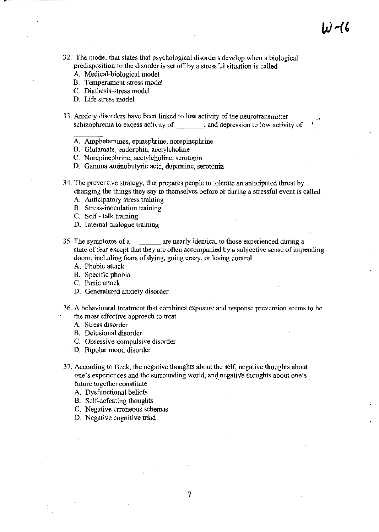- 32. The model that states that psychological disorders develop when a biological predisposition to the disorder is set off by a stressful situation is called
	- A. Medical-biological model
	- B. Tcmperament-stress model
	- C. Diathesis-stress model
	- D. Life stress model
- 33. Anxiety disorders have been linked to low activity of the neurotransmitter schizophrenia to excess activity of \_\_\_\_\_\_\_\_\_, and depression to low activity of
	- A. Amphetamines, epinephrine, norepinephrine
	- B. Glutamate, cndorphin, acetylcholine
	- C. Norepinephrine, acetylcholine, serotonin
	- D. Gamma aminobutyric acid, dopamine, serotonin
- 34. The preventive strategy, that prepares people to tolerate an anticipated threat by changing the things they say to themselves before or during a stressful event is called
	- A. Anticipatory stress training
	- B. Stress-inoculation training
	- C. Self talk training
	- D. Internal dialogue training
- 35. The symptoms of a are nearly identical to those experienced during a state of fear except that they are often accompanied by a subjective sense of impending doom, including fears of dying, going crazy, or losing control
	- A. Phobic attack
	- B. Spccific phobia
	- C. Panic attack
	- D. Generalized anxiety disorder
- 36. A behavioural treatment that combines exposure and response prevention seems to be the most effective approach to treat
	- A. Stress disorder
	- B. Delusional disorder
	- C. Obsessive-compulsive disorder
	- D. Bipolar mood disorder
- 37. According to Beck, the negative thoughts about the self, negative thoughts about one's experiences and the surrounding world, and negative thoughts about one's future together constitute

7

- A. Dysfunctional beliefs
- B. Self-defeating thoughts
- C. Negative erroneous schemas
- D. Negative cognitive triad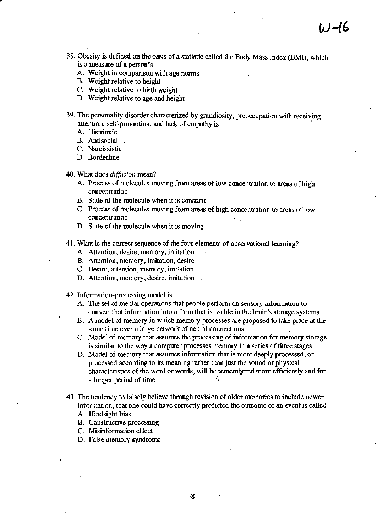- 38. Obesity is defined on the basis of a statistic called the Body Mass Index (BMI), which is a measure of a person's
	- A. Weight in comparison with age norms
	- B. Weight relative to height
	- C. Weight relative to birth weight
	- D. Weight relative to age and height
- 39. The personality disorder characterized by grandiosity, preoccupation with receiving attention, self-promotion, and lack of empathy is
	- A. Histrionic
	- B. Antisocial
	- C. Narcissistic
	- D. Borderline

#### 40. What does *diffusion* mean?

- A. Process of molecules moving from areas of low concentration to areas of high concentration
- B. State of the molecule when it is constant
- C. Process of molecules moving from areas of high concentration to areas of low concentration
- D. State of the molecule when it is moving
- 41. What is the correct sequence of the four elements of observational learning?
	- A. Attention, desire, memory, imitation
	- B. Attention, memory, imitation, desire
	- C. Desire, attention, memory, imitation
	- D. Attention, memory, desire, imitation
- 42. Information-processing model is
	- A. The set of mental operations that people perform on sensory information to convert that information into a form that is usable in the brain's storage systems
	- B. A model of memory in which memory processes are proposed to take place at the same time over a large network of neural connections
	- C. Model of memory that assumes the processing of information for memory storage is similar to the way a computer processes memory in a series of three stages
	- D. Model of memory that assumes infonnation that is more deeply processed, or processed according to its meaning rather tbanjust the sound or physical characteristics of the word or words, will be remembered more efficiently and for a longer period of time
- 43. The tendency to falsely believe through revision of older memories to include newer information, that one could have correctly predicted the outcome of an event is called
	- A. Hindsight bias
	- B. Constructive processing
	- C. Misinformation effect
	- D. False memory syndrome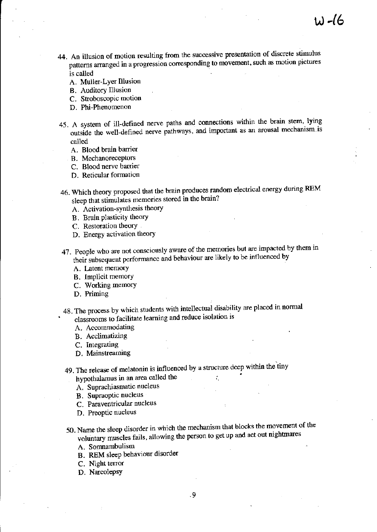- 44. An illusion of motion resulting from the successive presentation of discrete stimulus patterns arranged in a progression corresponding to movement, such as motion pictures is called
	- A. Muller-Lyer Illusion
	- B. Auditory Illusion
	- C. Stroboscopic motion
	- D. Phi-Phenomenon
- 45. A system of ill-defined nerve paths and connections within the brain stem, lying outside the well-defined nerve pathways, and important as an arousal mechanism.is called
	- A. Blood brain barrier
	- B. Mechanoreceptors
	- C. Blood nerve barrier
	- D. Reticular formation
- 46. Which theory proposed that the brain produces random electrical energy during REM sleep that stimulates memories stored in the brain?
	- A. Activation-synthesis theory
	- B. Brain plasticity theory
	- C. Restoration theory
	- D. Energy activation theory
- 47. People who are not consciously aware of the memories but are impacted by them in their subsequent performance and behaviour are likely to be influenced by
	- A. Latent memory
	- B. Implicit memory
	- C. Working memory
	- D. Priming
- 48. The process by which students with intellectual disability are placed in normal classrooms to facilitate learning and reduce isolation is
	- A. Accommodating
	- B. Acclimatizing
	- C. Integrating
	- D. Mainstreaming
- 49. The release of melatonin is influenced by a structure deep within the'tiny hypothalamus in an area called the

A. Suprachiasmatic nucleus

- 
- B. Supraoptic nucleus
- C. Paraventricular nucleus
- D. Preoptic nucleus
- 50. Name the sleep disorder in which the mechanism that blocks the movement of the voluntary muscles fails, allowing the person to get up and act out nightmares
	- A. Somnambulism
	- B. REM sleep behaviour disorder
	- C. Night terror
	- D. Narcolepsy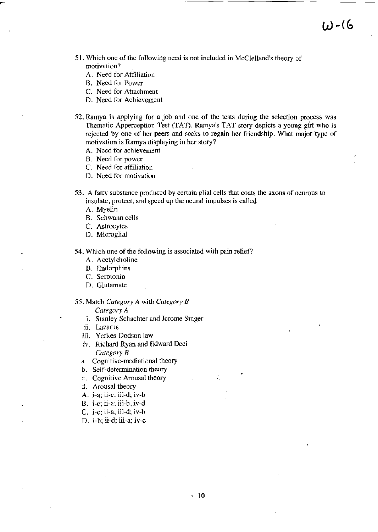- 51. Which one of the following need is not included in McClelland's theory of motivation?
	- A. Need for Affiliation
	- B. Need for Power
	- C. Need for Attachment
	- D. Need for Achievement
- 52. Ramya is applying for a job and one of the tests during the selection process was Thematic Apperception Test (TAT). Ramya's TAT story depicts a young girl who is rejected by one of her peers and seeks to regain her friendship. What major type of motivation is Ramya displaying in her story?
	- A. Need for achievement
	- B. Need for power
	- C. Need for affiliation
	- D. Need for motivation
- 53. A fatty substance produced by certain glial cells that coats the axons of neurons to insulate, protect, and speed up the neural impulses is called
	- A. Myelin
	- B. Schwann cells
	- C. Astrocytes
	- D. Microglial

54. Which one of the following is associated with pain relief?

- A. Acetylcholine
- B. Endorphins
- C. Serotonin
- D. Glutamate
- 55. Match *Category A* with *Category B* 
	- *Category A*  1. Stanley Schachter and Jerome Singer
	- ii. Lazarus
	-
	- iii. Yerkes-Dodson law
	- $iv.$  Richard Ryan and Edward Deci *Category B*
	- a. Cognitive-mediational theory
	- b. Self-determination theory
	- c. Cognitive Arousal theory
	- d. Arousal theory
	- A. i-a; ii-c; iii-d; iv-b
	- B. i-c; ii-a; iii-b, iv-d
	- C. i-c; ii-a; iii-d; iv-b
	- D. i-b; ii-d; iii-a; iv-c

 $\mathbf{r} = \mathbf{r}$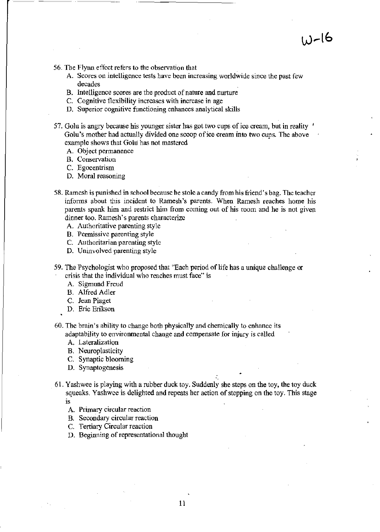- 56. The Flynn effect refers to the observation that
	- A. Scores on intelligence tests have been increasing worldwide since the past few decades
	- B. Intelligence scores are the product of nature and nurture
	- C. Cognitive flexibility increases with increase in age
	- D. Superior cognitive functioning enhances analytical skills
- 57. Golu is angry because his younger sister has got two cups of ice cream, but in reality  $\prime$ Golu's mother had actually divided one scoop of ice cream into two cups. The above example shows that Golu has not mastered
	- A. Object permanence
	- B. Conservation
	- C. Egocentrism
	- D. Moral reasoning
- 58. Ramesh is punished in school because he stole a candy from his friend's bag. The teacher informs about this incident to Ramesh's parents. When Ramesh reaches home his parents spank him and restrict him from coming out of his room and he is not given dinner too. Ramesh's parents characterize
	- A. Authoritative parenting style
	- B. Permissive parenting style
	- C. Authoritarian parenting style
	- D. Uninvolved parenting style
- 59. The Psychologist who proposed that "Each period of life has a unique challenge or crisis that the individual who reaches must face" is
	- A. Sigmund Freud
	- B. Alfred Adler
	- C. Jean Piaget
	- D. Eric Erikson
- 60. The brain's ability to changc both physically and chemically to enhance its adaptability to environmental change and compensate [or injury is called
	- A. Lateratization
	- B. Neuroplasticity
	- C. Synaptic blooming
	- D. Synaptogenesis
- 61. Yashwee is playing with a rubber duck toy. Suddenly she steps on the toy, the toy duck squeaks. Yashwce is delighted and repeats her action of stepping on the toy. This stage 1S
	- A. Primary circular reaction
	- B. Secondary circular reaction
	- C. Tertiary Circular reaction
	- D. Beginning of representational thought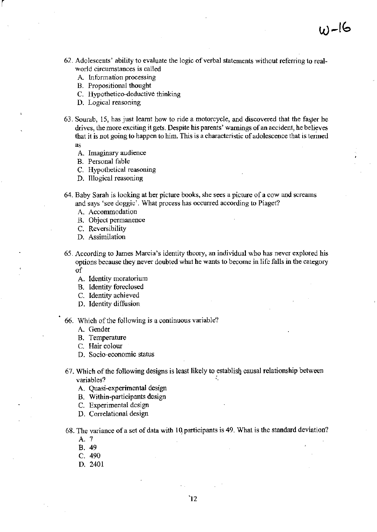- 62. Adolescents' ability to evaluate the logic of verbal statements without referring to realworld circumstances is called
	- A. Information processing
	- B. Propositional thought
	- C. Hypothetico-deductive thinking
	- D. Logical reasoning

r

- 63. Sourab, 15, has just learnt how to ride a motorcycle, and discovered that the faster be drives, the more exciting it gets. Despite his parents' warnings of an accident, he believes that it is not going to happen to him. This is a characteristic of adolescence that is termed as
	- A. Imaginary audience
	- B. Personal fable
	- C. Hypothetical reasoning
	- D. Illogical reasoning
- 64. Baby Sarah is looking at her picture books, she sees a picture of a cow and screams and says 'see doggie'. What process has occurred according to Piaget?
	- A. Accommodation
	- B. Object permanence
	- C. Reversibility
	- D. Assimilation
- 65. According to James Marcia's identity theory, an individual who has never explored his options because they never doubted what he wants to become in life falls in the category of
	- A. Identity moratorium
	- B. Identity foreclosed
	- C. Identity achieved
	- D. Identity diffusion
- 66. Which of the following is a continuous variable?
	- A. Gender
	- B. Temperature
	- C. Hair colour
	- D. Socia-economic status
- 67. Which of the following designs is least likely to establisl} causal relationship between variables?
	- A. Quasi-experimental design
	- B. Within-participants design
	- C. Experimental design
	- D. Correlational design
- 68. The variance of a set of data with 10. participants is 49. What is the standard deviation?
	- A. 7
	- B. 49
	- C. 490
	- D. 2401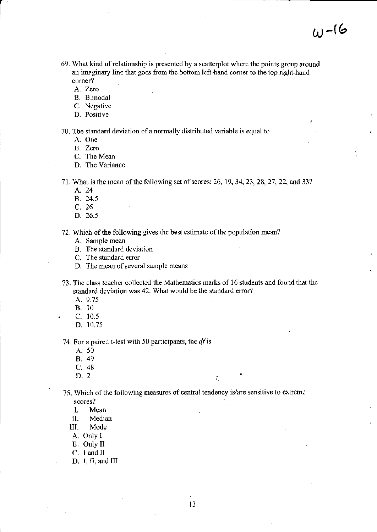- 69. What kind of relationship is presented by a scatterplot where the points group around an imaginary line that goes from the bottom left-hand corner to the top right-hand corner?
	- A. Zero
	- B. Bimodal
	- C. Negative
	- D. Positive

70. The standard deviation of a normally distributed variable is equal to

A. One

B. Zero

C. The Mean

D. The Variance

- 71. What is the mean of the following set of scores: 26, 19,34,23,28,27,22, and 33?
	- A.24
	- B. 24.5
	- C. 26
	- D. 26.5

## 72. Which of the following gives the best estimate of the population mean?

- A. Sample mean
- B. The standard deviation
- C. The standard error
- D. The mean of several sample means
- 73. The class teacher collected the Mathematics marks of 16 students and found that the standard deviation was 42. What would be the standard error?
	- A. 9.75
	- B. 10
	- C. 10.5
	- D. 10.75

74. For a paired t-test with 50 participants, the *dfis* 

- A. 50
- B. 49
- C. 48
- D. 2 . •

75. Which of the following measures of central tendency is/are sensitive to extreme scores?

- 1. Mean
- II. Median
- 111. Mode
- A. Only I
- B. Only 11
- $C. I$  and  $II$
- D. I, II, and III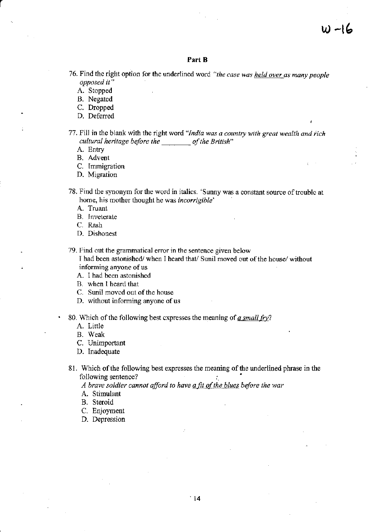## **Part B**

76. Find the right option for the underlined word *"the case was held over as many people opposed it"* 

- A. Stopped
- B. Negated
- C. Dropped
- D. Deferred
- 77. Fill in the blank with the right word *"India was a country with great wealth and rich cultural heritage before the of the British*"
	- A. Entry

B. Advent

- C. Immigration
- D. Migration
- 78. Find the synonym for the word in italics. 'Sunny was a constant source of trouble at home, his mother thought he was *incorrigihle'* 
	- A. Truant
	- B. Inveterate
	- C. Rash
	- D. Dishonest
- 79. Find out the grammatical error in the sentence given below

I had been astonished/ when I heard that/ Sunil moved out of the house/ without informing anyone of us

- A. I had been astonished
- B. when 1 heard that
- C. Sunil moved out of the house
- D. without informing anyone of us
- 80. \Vhich of the following best expresses the meaning of *a small* fry?
	- A. Little
	- B. Weak
	- C. Unimportant
	- D. Inadequate
- 81. Whieh of the following best expresses the meaning of the underlined phrase in the following sentence?

*A brave soldier cannot afford to have a fit of the blues before the war* 

- A. Stimulant
- B. Steroid
- c. Enjoyment
- D. Depression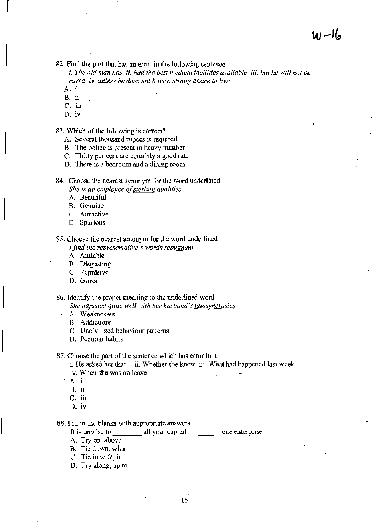$(u) - 16$ 

82. Find the part that has an error in the following sentence

i. *The old man has ii. had the best medical facilities available* iii. *but he will not be cured iv. unless he does not have a strong desire to live* 

- A.
- B. ii
- C. iii
- D. IV

83. Which of the following is correct?

- A. Several thousand rupees is required
- B. The police is present in heavy number
- C. Thirty per cent are certainly a good rate
- D. There is a bedroom and a dining room
- 84. Choose the nearest synonym for the word underlined *She is an employee of sterling qualities* 
	- A Beautiful
	- B. Genuine
	- C. Altractive
	- D. Spurious

85. Choose the nearest antonym for the word underlined f *find the representative's words repugnant* 

- A. Amiable
- B. Disgusting
- C. Repulsive
- D. Gross

86. Identify the proper meaning to the underlined word *She adjusted quite well with her husband's idiosyncrasies* 

- A. Weaknesses
	- B. Addictions
	- C. Uncivilized behaviour patterns
	- D. Peculiar habits

87. Choose the part of the sentence which has error in it

i. He asked her that ii. Whether she knew iii. What had happened last week iv. When she was on leave • ÷.

- A.
- B. It
- C. iii
- D. IV

88. Fill in the blanks with appropriate answers<br>
It is unwise to \_\_\_\_\_\_\_\_\_\_ all your capital \_\_\_\_\_\_\_\_\_\_\_ one enterprise

- A. Try on, above
- B. Tie down, with
- C. Tie in with, in
- D. Try along, up to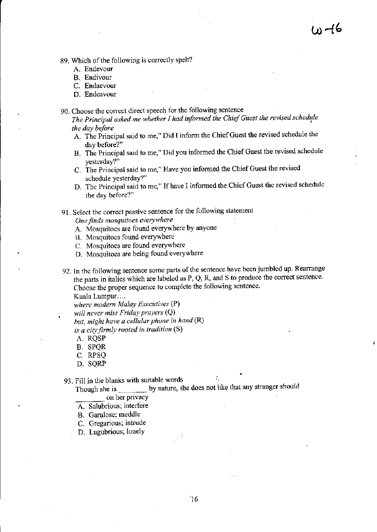- 89. Which of the following is correctly spelt?
	- A. Endevour
	- B. Endivour
	- C. Endaevour
	- D. Endeavour
- 90. Choose the correct direct speech for the following sentence
	- The Principal asked me whether I had informed the Chief Guest the revised schedule *the day before*
	- A. The Principal said to me," Did I inform the Chief Guest the revised schedule the day before?"
	- B. The Principal said to me," Did you informed the Chief Guest the revised schedule yesterday?"
	- C. The Principal said to me," Have you informed the Chief Guest the revised schedule yesterday?"
	- D. The Principal said to me," If have I informed the Chief Guest the revised schedule the day before?"
- 91. Select the correct passive sentence for the following statement

*One finds mosquitoes everywhere* 

- A. Mosquitoes are found everywhere by anyone
- B. Mosquitoes found everywhere
- C. Mosquitoes are found everywhere
- D. Mosquitoes are being found everywhere
- 92. In the following sentence some parts of the sentence have been jumbled up. Rearrange the parts in italics which are labeled as P, Q, R, and S to produce the correct sentence. Choose the proper sequence to complete the following sentence.

Kuala Lumpur....

*where modern Malay Executives* (P)

*will never miss Friday prayers* (Q)

*hut, might have a cellular phone in hand* (R)

*is a city firmly rooted in tradition* (S)

- A. RQSP
- B. SPQR
- C. RPSQ
- D. SQRP

93. Fill in the blanks with suitable words

Though she is by nature, she does not like that any stranger should on her privacy

•

- 
- A. Salubrious; interfere
- B. Garulose; meddle
- C. Gregarious; intrude
- D. Lugubrious; lonely